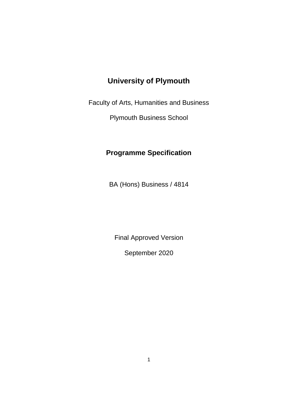# **University of Plymouth**

Faculty of Arts, Humanities and Business

Plymouth Business School

# **Programme Specification**

BA (Hons) Business / 4814

Final Approved Version

September 2020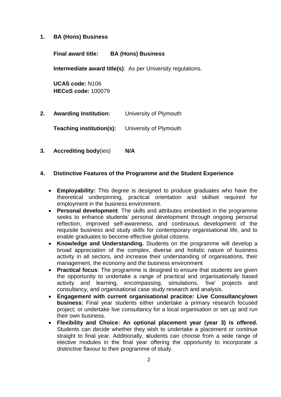#### **1. BA (Hons) Business**

**Final award title: BA (Hons) Business**

**Intermediate award title(s)**: As per University regulations.

**UCAS code:** N106 **HECoS code:** 100079

**2. Awarding Institution:** University of Plymouth

**Teaching institution(s):** University of Plymouth

**3. Accrediting body**(ies) **N/A**

### **4. Distinctive Features of the Programme and the Student Experience**

- **Employability:** This degree is designed to produce graduates who have the theoretical underpinning, practical orientation and skillset required for employment in the business environment.
- **Personal development**. The skills and attributes embedded in the programme seeks to enhance students' personal development through ongoing personal reflection, improved self-awareness, and continuous development of the requisite business and study skills for contemporary organisational life, and to enable graduates to become effective global citizens.
- **Knowledge and Understanding.** Students on the programme will develop a broad appreciation of the complex, diverse and holistic nature of business activity in all sectors, and increase their understanding of organisations, their management, the economy and the business environment
- **Practical focus**: The programme is designed to ensure that students are given the opportunity to undertake a range of practical and organisationally based activity and learning, encompassing, simulations, 'live' projects and consultancy, and organisational case study research and analysis.
- **Engagement with current organisational pracitce: Live Consultancy/own business**; Final year students either undertake a primary research focused project; or undertake live consultancy for a local organisation or set up and run their own business.
- **Flexibility and Choice: An optional placement year (year 3) is offered.**  Students can decide whether they wish to undertake a placement or continue straight to final year. Additionally, **s**tudents can choose from a wide range of elective modules in the final year offering the opportunity to incorporate a distinctive flavour to their programme of study.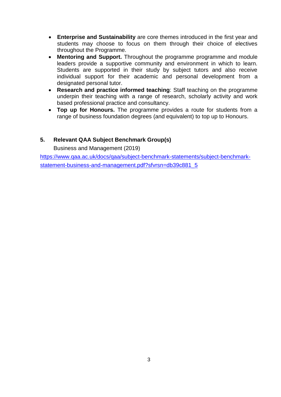- **Enterprise and Sustainability** are core themes introduced in the first year and students may choose to focus on them through their choice of electives throughout the Programme.
- **Mentoring and Support.** Throughout the programme programme and module leaders provide a supportive community and environment in which to learn. Students are supported in their study by subject tutors and also receive individual support for their academic and personal development from a designated personal tutor.
- **Research and practice informed teaching**: Staff teaching on the programme underpin their teaching with a range of research, scholarly activity and work based professional practice and consultancy.
- **Top up for Honours.** The programme provides a route for students from a range of business foundation degrees (and equivalent) to top up to Honours.

## **5. Relevant QAA Subject Benchmark Group(s)**

Business and Management (2019)

[https://www.qaa.ac.uk/docs/qaa/subject-benchmark-statements/subject-benchmark](https://www.qaa.ac.uk/docs/qaa/subject-benchmark-statements/subject-benchmark-statement-business-and-management.pdf?sfvrsn=db39c881_5)[statement-business-and-management.pdf?sfvrsn=db39c881\\_5](https://www.qaa.ac.uk/docs/qaa/subject-benchmark-statements/subject-benchmark-statement-business-and-management.pdf?sfvrsn=db39c881_5)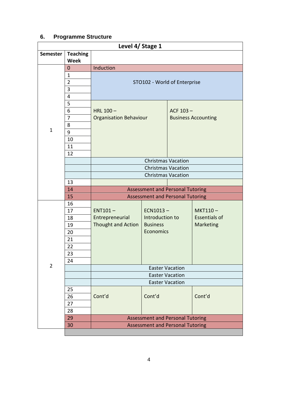# **6. Programme Structure**

|                | Level 4/ Stage 1 |                                         |                                         |                            |                      |  |
|----------------|------------------|-----------------------------------------|-----------------------------------------|----------------------------|----------------------|--|
| Semester       | <b>Teaching</b>  |                                         |                                         |                            |                      |  |
|                | <b>Week</b>      |                                         |                                         |                            |                      |  |
|                | $\mathbf 0$      | Induction                               |                                         |                            |                      |  |
|                | $\mathbf{1}$     |                                         |                                         |                            |                      |  |
|                | $\overline{2}$   |                                         | STO102 - World of Enterprise            |                            |                      |  |
|                | 3                |                                         |                                         |                            |                      |  |
|                | 4                |                                         |                                         |                            |                      |  |
|                | 5                |                                         |                                         |                            |                      |  |
|                | 6                | HRL $100 -$                             |                                         | ACF $103 -$                |                      |  |
|                | 7                | <b>Organisation Behaviour</b>           |                                         | <b>Business Accounting</b> |                      |  |
|                | 8                |                                         |                                         |                            |                      |  |
| $\mathbf{1}$   | 9                |                                         |                                         |                            |                      |  |
|                | 10               |                                         |                                         |                            |                      |  |
|                | 11               |                                         |                                         |                            |                      |  |
|                | 12               |                                         |                                         |                            |                      |  |
|                |                  | <b>Christmas Vacation</b>               |                                         |                            |                      |  |
|                |                  | <b>Christmas Vacation</b>               |                                         |                            |                      |  |
|                |                  |                                         | <b>Christmas Vacation</b>               |                            |                      |  |
|                | 13               |                                         |                                         |                            |                      |  |
|                | 14               |                                         | <b>Assessment and Personal Tutoring</b> |                            |                      |  |
|                | 15               |                                         | <b>Assessment and Personal Tutoring</b> |                            |                      |  |
|                | 16               |                                         |                                         |                            |                      |  |
|                | 17               | $ENT101 -$                              | $ECN1013-$                              |                            | MKT110-              |  |
|                | 18               | Entrepreneurial                         | Introduction to                         |                            | <b>Essentials of</b> |  |
|                | 19               | Thought and Action                      | <b>Business</b>                         |                            | Marketing            |  |
|                | 20               |                                         | <b>Economics</b>                        |                            |                      |  |
|                | 21               |                                         |                                         |                            |                      |  |
|                | 22               |                                         |                                         |                            |                      |  |
|                | 23               |                                         |                                         |                            |                      |  |
|                | 24               |                                         |                                         |                            |                      |  |
| $\overline{2}$ |                  | <b>Easter Vacation</b>                  |                                         |                            |                      |  |
|                |                  | <b>Easter Vacation</b>                  |                                         |                            |                      |  |
|                |                  | <b>Easter Vacation</b>                  |                                         |                            |                      |  |
|                | 25               |                                         |                                         |                            |                      |  |
|                | 26               | Cont'd                                  | Cont'd                                  |                            | Cont'd               |  |
|                | 27               |                                         |                                         |                            |                      |  |
|                | 28               |                                         |                                         |                            |                      |  |
|                | 29               |                                         | <b>Assessment and Personal Tutoring</b> |                            |                      |  |
|                | 30               |                                         |                                         |                            |                      |  |
|                |                  | <b>Assessment and Personal Tutoring</b> |                                         |                            |                      |  |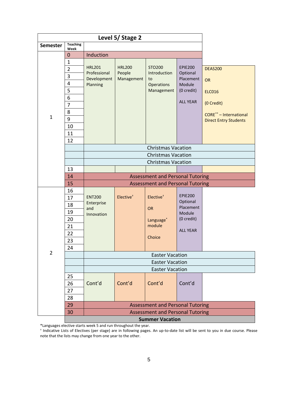| Level 5/ Stage 2 |                         |                                                  |                           |                                         |                       |                               |  |  |  |
|------------------|-------------------------|--------------------------------------------------|---------------------------|-----------------------------------------|-----------------------|-------------------------------|--|--|--|
| <b>Semester</b>  | <b>Teaching</b><br>Week |                                                  |                           |                                         |                       |                               |  |  |  |
|                  | $\mathbf 0$             | Induction                                        |                           |                                         |                       |                               |  |  |  |
|                  | $\mathbf{1}$            |                                                  |                           |                                         |                       |                               |  |  |  |
|                  | $\overline{2}$          | <b>HRL201</b>                                    | <b>HRL200</b>             | <b>STO200</b>                           | <b>EPIE200</b>        | <b>DEAS200</b>                |  |  |  |
|                  | $\overline{3}$          | Professional                                     | People                    | Introduction                            | Optional<br>Placement |                               |  |  |  |
|                  | $\overline{4}$          | Development<br>Planning                          | Management                | to<br>Operations                        | Module                | OR                            |  |  |  |
|                  | 5                       |                                                  |                           | Management                              | (0 credit)            | <b>ELC016</b>                 |  |  |  |
|                  | 6                       |                                                  |                           |                                         |                       |                               |  |  |  |
|                  | $\overline{7}$          |                                                  |                           |                                         | <b>ALL YEAR</b>       | (0 Credit)                    |  |  |  |
|                  | 8                       |                                                  |                           |                                         |                       | <b>CORE**</b> - International |  |  |  |
| $\mathbf 1$      | 9                       |                                                  |                           |                                         |                       | <b>Direct Entry Students</b>  |  |  |  |
|                  | 10                      |                                                  |                           |                                         |                       |                               |  |  |  |
|                  | 11                      |                                                  |                           |                                         |                       |                               |  |  |  |
|                  | 12                      |                                                  |                           |                                         |                       |                               |  |  |  |
|                  |                         |                                                  |                           | <b>Christmas Vacation</b>               |                       |                               |  |  |  |
|                  |                         |                                                  | <b>Christmas Vacation</b> |                                         |                       |                               |  |  |  |
|                  |                         | <b>Christmas Vacation</b>                        |                           |                                         |                       |                               |  |  |  |
| $\overline{2}$   | 13                      |                                                  |                           |                                         |                       |                               |  |  |  |
|                  | 14                      | <b>Assessment and Personal Tutoring</b>          |                           |                                         |                       |                               |  |  |  |
|                  | 15                      |                                                  |                           | <b>Assessment and Personal Tutoring</b> |                       |                               |  |  |  |
|                  | 16                      |                                                  |                           |                                         | <b>EPIE200</b>        |                               |  |  |  |
|                  | 17                      | <b>ENT200</b><br>Enterprise                      | Elective <sup>+</sup>     | Elective <sup>+</sup>                   | Optional              |                               |  |  |  |
|                  | 18                      | and                                              |                           | <b>OR</b>                               | Placement             |                               |  |  |  |
|                  | 19                      | Innovation                                       |                           |                                         | Module                |                               |  |  |  |
|                  | 20                      |                                                  |                           | Language <sup>*</sup>                   | (0 credit)            |                               |  |  |  |
|                  | 21                      |                                                  |                           | module                                  | <b>ALL YEAR</b>       |                               |  |  |  |
|                  | 22                      |                                                  |                           | Choice                                  |                       |                               |  |  |  |
|                  | 23                      |                                                  |                           |                                         |                       |                               |  |  |  |
|                  | 24                      |                                                  |                           |                                         |                       |                               |  |  |  |
|                  |                         | <b>Easter Vacation</b>                           |                           |                                         |                       |                               |  |  |  |
|                  |                         | <b>Easter Vacation</b><br><b>Easter Vacation</b> |                           |                                         |                       |                               |  |  |  |
|                  |                         |                                                  |                           |                                         |                       |                               |  |  |  |
|                  | 25                      | Cont'd                                           | Cont'd                    | Cont'd                                  | Cont'd                |                               |  |  |  |
|                  | 26                      |                                                  |                           |                                         |                       |                               |  |  |  |
|                  | 27                      |                                                  |                           |                                         |                       |                               |  |  |  |
|                  | 28                      |                                                  |                           |                                         |                       |                               |  |  |  |
|                  | 29<br>30                |                                                  |                           | <b>Assessment and Personal Tutoring</b> |                       |                               |  |  |  |
|                  |                         |                                                  |                           | <b>Assessment and Personal Tutoring</b> |                       |                               |  |  |  |
|                  |                         | <b>Summer Vacation</b>                           |                           |                                         |                       |                               |  |  |  |

\*Languages elective starts week 5 and run throughout the year. † Indicative Lists of Electives (per stage) are in following pages. An up-to-date list will be sent to you in due course. Please note that the lists may change from one year to the other.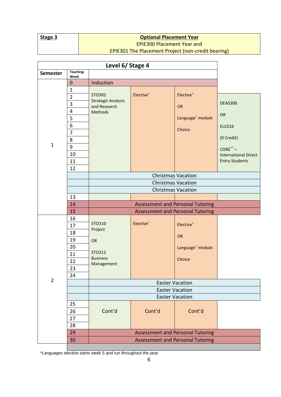|--|

## **<u>Optional Placement Year</u>** EPIE300 Placement Year and

| <b>Teaching</b><br><b>Semester</b><br>Week<br>Induction<br>$\mathbf{0}$<br>$\mathbf{1}$<br>Elective <sup>+</sup><br>Elective <sup>+</sup><br>STO302<br>$\overline{2}$<br><b>Strategic Analysis</b><br>$\overline{3}$<br><b>DEAS300</b><br>and Research<br>OR<br>$\overline{\mathbf{4}}$<br>Methods<br>OR<br>5<br>Language <sup>*</sup> module<br>6<br><b>ELC016</b><br>Choice<br>$\overline{7}$<br>(0 Credit)<br>8<br>$\mathbf{1}$<br>9<br>$CORE^{\ast\ast}$ –<br>10<br><b>International Direct</b><br><b>Entry Students</b><br>11<br>12<br><b>Christmas Vacation</b><br><b>Christmas Vacation</b><br><b>Christmas Vacation</b><br>13<br><b>Assessment and Personal Tutoring</b><br>14<br>15<br><b>Assessment and Personal Tutoring</b><br>16<br>Elective <sup>+</sup><br>STO310<br>Elective <sup>+</sup><br>17<br>Project<br>18<br>OR<br>19<br>OR<br>20<br>Language <sup>*</sup> module<br>STO312<br>21<br><b>Business</b><br>Choice<br>22<br>Management<br>23<br>24<br>$\overline{2}$<br><b>Easter Vacation</b><br><b>Easter Vacation</b><br><b>Easter Vacation</b><br>25<br>Cont'd<br>Cont'd<br>Cont'd<br>26<br>27<br>28<br>29<br><b>Assessment and Personal Tutoring</b><br>30<br><b>Assessment and Personal Tutoring</b> |  | Level 6/ Stage 4 |  |  |  |
|-------------------------------------------------------------------------------------------------------------------------------------------------------------------------------------------------------------------------------------------------------------------------------------------------------------------------------------------------------------------------------------------------------------------------------------------------------------------------------------------------------------------------------------------------------------------------------------------------------------------------------------------------------------------------------------------------------------------------------------------------------------------------------------------------------------------------------------------------------------------------------------------------------------------------------------------------------------------------------------------------------------------------------------------------------------------------------------------------------------------------------------------------------------------------------------------------------------------------------|--|------------------|--|--|--|
|                                                                                                                                                                                                                                                                                                                                                                                                                                                                                                                                                                                                                                                                                                                                                                                                                                                                                                                                                                                                                                                                                                                                                                                                                               |  |                  |  |  |  |
|                                                                                                                                                                                                                                                                                                                                                                                                                                                                                                                                                                                                                                                                                                                                                                                                                                                                                                                                                                                                                                                                                                                                                                                                                               |  |                  |  |  |  |
|                                                                                                                                                                                                                                                                                                                                                                                                                                                                                                                                                                                                                                                                                                                                                                                                                                                                                                                                                                                                                                                                                                                                                                                                                               |  |                  |  |  |  |
|                                                                                                                                                                                                                                                                                                                                                                                                                                                                                                                                                                                                                                                                                                                                                                                                                                                                                                                                                                                                                                                                                                                                                                                                                               |  |                  |  |  |  |
|                                                                                                                                                                                                                                                                                                                                                                                                                                                                                                                                                                                                                                                                                                                                                                                                                                                                                                                                                                                                                                                                                                                                                                                                                               |  |                  |  |  |  |
|                                                                                                                                                                                                                                                                                                                                                                                                                                                                                                                                                                                                                                                                                                                                                                                                                                                                                                                                                                                                                                                                                                                                                                                                                               |  |                  |  |  |  |
|                                                                                                                                                                                                                                                                                                                                                                                                                                                                                                                                                                                                                                                                                                                                                                                                                                                                                                                                                                                                                                                                                                                                                                                                                               |  |                  |  |  |  |
|                                                                                                                                                                                                                                                                                                                                                                                                                                                                                                                                                                                                                                                                                                                                                                                                                                                                                                                                                                                                                                                                                                                                                                                                                               |  |                  |  |  |  |
|                                                                                                                                                                                                                                                                                                                                                                                                                                                                                                                                                                                                                                                                                                                                                                                                                                                                                                                                                                                                                                                                                                                                                                                                                               |  |                  |  |  |  |
|                                                                                                                                                                                                                                                                                                                                                                                                                                                                                                                                                                                                                                                                                                                                                                                                                                                                                                                                                                                                                                                                                                                                                                                                                               |  |                  |  |  |  |
|                                                                                                                                                                                                                                                                                                                                                                                                                                                                                                                                                                                                                                                                                                                                                                                                                                                                                                                                                                                                                                                                                                                                                                                                                               |  |                  |  |  |  |
|                                                                                                                                                                                                                                                                                                                                                                                                                                                                                                                                                                                                                                                                                                                                                                                                                                                                                                                                                                                                                                                                                                                                                                                                                               |  |                  |  |  |  |
|                                                                                                                                                                                                                                                                                                                                                                                                                                                                                                                                                                                                                                                                                                                                                                                                                                                                                                                                                                                                                                                                                                                                                                                                                               |  |                  |  |  |  |
|                                                                                                                                                                                                                                                                                                                                                                                                                                                                                                                                                                                                                                                                                                                                                                                                                                                                                                                                                                                                                                                                                                                                                                                                                               |  |                  |  |  |  |
|                                                                                                                                                                                                                                                                                                                                                                                                                                                                                                                                                                                                                                                                                                                                                                                                                                                                                                                                                                                                                                                                                                                                                                                                                               |  |                  |  |  |  |
|                                                                                                                                                                                                                                                                                                                                                                                                                                                                                                                                                                                                                                                                                                                                                                                                                                                                                                                                                                                                                                                                                                                                                                                                                               |  |                  |  |  |  |
|                                                                                                                                                                                                                                                                                                                                                                                                                                                                                                                                                                                                                                                                                                                                                                                                                                                                                                                                                                                                                                                                                                                                                                                                                               |  |                  |  |  |  |
|                                                                                                                                                                                                                                                                                                                                                                                                                                                                                                                                                                                                                                                                                                                                                                                                                                                                                                                                                                                                                                                                                                                                                                                                                               |  |                  |  |  |  |
|                                                                                                                                                                                                                                                                                                                                                                                                                                                                                                                                                                                                                                                                                                                                                                                                                                                                                                                                                                                                                                                                                                                                                                                                                               |  |                  |  |  |  |
|                                                                                                                                                                                                                                                                                                                                                                                                                                                                                                                                                                                                                                                                                                                                                                                                                                                                                                                                                                                                                                                                                                                                                                                                                               |  |                  |  |  |  |
|                                                                                                                                                                                                                                                                                                                                                                                                                                                                                                                                                                                                                                                                                                                                                                                                                                                                                                                                                                                                                                                                                                                                                                                                                               |  |                  |  |  |  |
|                                                                                                                                                                                                                                                                                                                                                                                                                                                                                                                                                                                                                                                                                                                                                                                                                                                                                                                                                                                                                                                                                                                                                                                                                               |  |                  |  |  |  |
|                                                                                                                                                                                                                                                                                                                                                                                                                                                                                                                                                                                                                                                                                                                                                                                                                                                                                                                                                                                                                                                                                                                                                                                                                               |  |                  |  |  |  |
|                                                                                                                                                                                                                                                                                                                                                                                                                                                                                                                                                                                                                                                                                                                                                                                                                                                                                                                                                                                                                                                                                                                                                                                                                               |  |                  |  |  |  |
|                                                                                                                                                                                                                                                                                                                                                                                                                                                                                                                                                                                                                                                                                                                                                                                                                                                                                                                                                                                                                                                                                                                                                                                                                               |  |                  |  |  |  |
|                                                                                                                                                                                                                                                                                                                                                                                                                                                                                                                                                                                                                                                                                                                                                                                                                                                                                                                                                                                                                                                                                                                                                                                                                               |  |                  |  |  |  |
|                                                                                                                                                                                                                                                                                                                                                                                                                                                                                                                                                                                                                                                                                                                                                                                                                                                                                                                                                                                                                                                                                                                                                                                                                               |  |                  |  |  |  |
|                                                                                                                                                                                                                                                                                                                                                                                                                                                                                                                                                                                                                                                                                                                                                                                                                                                                                                                                                                                                                                                                                                                                                                                                                               |  |                  |  |  |  |
|                                                                                                                                                                                                                                                                                                                                                                                                                                                                                                                                                                                                                                                                                                                                                                                                                                                                                                                                                                                                                                                                                                                                                                                                                               |  |                  |  |  |  |
|                                                                                                                                                                                                                                                                                                                                                                                                                                                                                                                                                                                                                                                                                                                                                                                                                                                                                                                                                                                                                                                                                                                                                                                                                               |  |                  |  |  |  |
|                                                                                                                                                                                                                                                                                                                                                                                                                                                                                                                                                                                                                                                                                                                                                                                                                                                                                                                                                                                                                                                                                                                                                                                                                               |  |                  |  |  |  |
|                                                                                                                                                                                                                                                                                                                                                                                                                                                                                                                                                                                                                                                                                                                                                                                                                                                                                                                                                                                                                                                                                                                                                                                                                               |  |                  |  |  |  |
|                                                                                                                                                                                                                                                                                                                                                                                                                                                                                                                                                                                                                                                                                                                                                                                                                                                                                                                                                                                                                                                                                                                                                                                                                               |  |                  |  |  |  |
|                                                                                                                                                                                                                                                                                                                                                                                                                                                                                                                                                                                                                                                                                                                                                                                                                                                                                                                                                                                                                                                                                                                                                                                                                               |  |                  |  |  |  |
|                                                                                                                                                                                                                                                                                                                                                                                                                                                                                                                                                                                                                                                                                                                                                                                                                                                                                                                                                                                                                                                                                                                                                                                                                               |  |                  |  |  |  |
|                                                                                                                                                                                                                                                                                                                                                                                                                                                                                                                                                                                                                                                                                                                                                                                                                                                                                                                                                                                                                                                                                                                                                                                                                               |  |                  |  |  |  |
|                                                                                                                                                                                                                                                                                                                                                                                                                                                                                                                                                                                                                                                                                                                                                                                                                                                                                                                                                                                                                                                                                                                                                                                                                               |  |                  |  |  |  |

EPIE301 The Placement Project (non-credit bearing)

\*Languages elective starts week 5 and run throughout the year.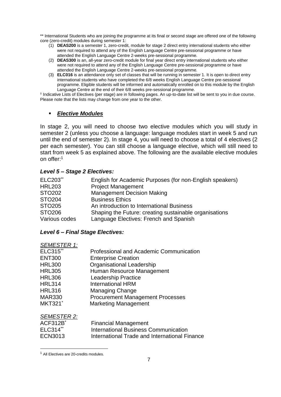\*\* International Students who are joining the programme at its final or second stage are offered one of the following core (zero-credit) modules during semester 1:

- (1) **DEAS200** is a semester 1, zero-credit, module for stage 2 direct entry international students who either were not required to attend any of the English Language Centre pre-sessional programme or have attended the English Language Centre 2-weeks pre-sessional programme.
- (2) **DEAS300** is an, all-year zero-credit module for final year direct entry international students who either were not required to attend any of the English Language Centre pre-sessional programme or have attended the English Language Centre 2-weeks pre-sessional programme.
- (3) **ELC016** is an attendance only set of classes that will be running in semester 1. It is open to direct entry international students who have completed the 6/8 weeks English Language Centre pre-sessional programme. Eligible students will be informed and automatically enrolled on to this module by the English Language Centre at the end of their 6/8 weeks pre-sessional programme.

† Indicative Lists of Electives (per stage) are in following pages. An up-to-date list will be sent to you in due course. Please note that the lists may change from one year to the other.

#### *Elective Modules*

In stage 2, you will need to choose two elective modules which you will study in semester 2 (unless you choose a language: language modules start in week 5 and run until the end of semester 2). In stage 4, you will need to choose a total of 4 electives (2 per each semester). You can still choose a language elective, which will still need to start from week 5 as explained above. The following are the available elective modules on offer:<sup>1</sup>

#### *Level 5 – Stage 2 Electives:*

| English for Academic Purposes (for non-English speakers) |
|----------------------------------------------------------|
| <b>Project Management</b>                                |
| <b>Management Decision Making</b>                        |
| <b>Business Ethics</b>                                   |
| An introduction to International Business                |
| Shaping the Future: creating sustainable organisations   |
| Language Electives: French and Spanish                   |
|                                                          |

#### *Level 6 – Final Stage Electives:*

| SEMESTER 1:     |                                         |
|-----------------|-----------------------------------------|
| <b>ELC315**</b> | Professional and Academic Communication |
| <b>ENT300</b>   | <b>Enterprise Creation</b>              |
| <b>HRL300</b>   | <b>Organisational Leadership</b>        |
| <b>HRL305</b>   | Human Resource Management               |
| <b>HRL306</b>   | <b>Leadership Practice</b>              |
| <b>HRL314</b>   | <b>International HRM</b>                |
| <b>HRL316</b>   | <b>Managing Change</b>                  |
| <b>MAR330</b>   | <b>Procurement Management Processes</b> |
| <b>MKT321</b> * | <b>Marketing Management</b>             |
|                 |                                         |

*SEMESTER 2:*

-

*SEMESTER 1:*

| $ACF312B^*$ | <b>Financial Management</b>                   |
|-------------|-----------------------------------------------|
| $ELC314**$  | International Business Communication          |
| ECN3013     | International Trade and International Finance |

<sup>1</sup> All Electives are 20-credits modules.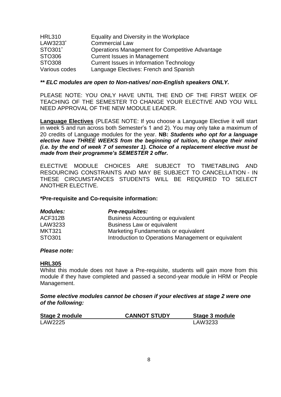| <b>HRL310</b> | Equality and Diversity in the Workplace                |
|---------------|--------------------------------------------------------|
| LAW3233*      | <b>Commercial Law</b>                                  |
| STO301*       | <b>Operations Management for Competitive Advantage</b> |
| STO306        | <b>Current Issues in Management</b>                    |
| STO308        | <b>Current Issues in Information Technology</b>        |
| Various codes | Language Electives: French and Spanish                 |

#### *\*\* ELC modules are open to Non-natives/ non-English speakers ONLY.*

PLEASE NOTE: YOU ONLY HAVE UNTIL THE END OF THE FIRST WEEK OF TEACHING OF THE SEMESTER TO CHANGE YOUR ELECTIVE AND YOU WILL NEED APPROVAL OF THE NEW MODULE LEADER.

**Language Electives** (PLEASE NOTE: If you choose a Language Elective it will start in week 5 and run across both Semester's 1 and 2). You may only take a maximum of 20 credits of Language modules for the year. **NB:** *Students who opt for a language elective have THREE WEEKS from the beginning of tuition, to change their mind (i.e. by the end of week 7 of semester 1). Choice of a replacement elective must be made from their programme's SEMESTER 2 offer***.**

ELECTIVE MODULE CHOICES ARE SUBJECT TO TIMETABLING AND RESOURCING CONSTRAINTS AND MAY BE SUBJECT TO CANCELLATION - IN THESE CIRCUMSTANCES STUDENTS WILL BE REQUIRED TO SELECT ANOTHER ELECTIVE.

#### **\*Pre-requisite and Co-requisite information:**

| <b>Modules:</b> | <b>Pre-requisites:</b>                              |
|-----------------|-----------------------------------------------------|
| ACF312B         | <b>Business Accounting or equivalent</b>            |
| LAW3233         | <b>Business Law or equivalent</b>                   |
| <b>MKT321</b>   | Marketing Fundamentals or equivalent                |
| STO301          | Introduction to Operations Management or equivalent |

#### *Please note:*

#### **HRL305**

Whilst this module does not have a Pre-requisite, students will gain more from this module if they have completed and passed a second-year module in HRM or People Management.

#### *Some elective modules cannot be chosen if your electives at stage 2 were one of the following:*

| Stage 2 module | <b>CANNOT STUDY</b> | Stage 3 module |
|----------------|---------------------|----------------|
| LAW2225        |                     | LAW3233        |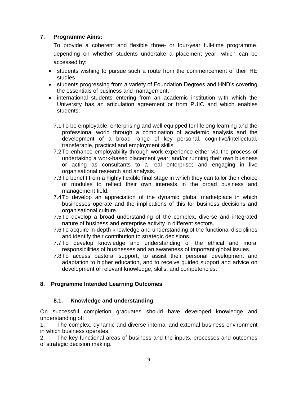### **7. Programme Aims:**

To provide a coherent and flexible three- or four-year full-time programme, depending on whether students undertake a placement year, which can be accessed by:

- students wishing to pursue such a route from the commencement of their HE studies
- students progressing from a variety of Foundation Degrees and HND's covering the essentials of business and management.
- international students entering from an academic institution with which the University has an articulation agreement or from PUIC and which enables students:
	- 7.1To be employable, enterprising and well equipped for lifelong learning and the professional world through a combination of academic analysis and the development of a broad range of key personal, cognitive/intellectual, transferable, practical and employment skills.
	- 7.2To enhance employability through work experience either via the process of undertaking a work-based placement year; and/or running their own business or acting as consultants to a real enterprise; and engaging in live organisational research and analysis.
	- 7.3To benefit from a highly flexible final stage in which they can tailor their choice of modules to reflect their own interests in the broad business and management field.
	- 7.4To develop an appreciation of the dynamic global marketplace in which businesses operate and the implications of this for business decisions and organisational culture.
	- 7.5To develop a broad understanding of the complex, diverse and integrated nature of business and enterprise activity in different sectors.
	- 7.6To acquire in-depth knowledge and understanding of the functional disciplines and identify their contribution to strategic decisions.
	- 7.7To develop knowledge and understanding of the ethical and moral responsibilities of businesses and an awareness of important global issues.
	- 7.8To access pastoral support, to assist their personal development and adaptation to higher education, and to receive guided support and advice on development of relevant knowledge, skills, and competencies.

## **8. Programme Intended Learning Outcomes**

#### **8.1. Knowledge and understanding**

On successful completion graduates should have developed knowledge and understanding of:

1. The complex, dynamic and diverse internal and external business environment in which business operates.

2. The key functional areas of business and the inputs, processes and outcomes of strategic decision making.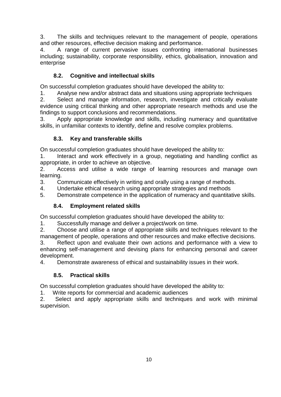3. The skills and techniques relevant to the management of people, operations and other resources, effective decision making and performance.

4. A range of current pervasive issues confronting international businesses including; sustainability, corporate responsibility, ethics, globalisation, innovation and enterprise

## **8.2. Cognitive and intellectual skills**

On successful completion graduates should have developed the ability to:

1. Analyse new and/or abstract data and situations using appropriate techniques

2. Select and manage information, research, investigate and critically evaluate evidence using critical thinking and other appropriate research methods and use the findings to support conclusions and recommendations.

3. Apply appropriate knowledge and skills, including numeracy and quantitative skills, in unfamiliar contexts to identify, define and resolve complex problems.

## **8.3. Key and transferable skills**

On successful completion graduates should have developed the ability to:

1. Interact and work effectively in a group, negotiating and handling conflict as appropriate, in order to achieve an objective.

2. Access and utilise a wide range of learning resources and manage own learning.

3. Communicate effectively in writing and orally using a range of methods.

4. Undertake ethical research using appropriate strategies and methods

5. Demonstrate competence in the application of numeracy and quantitative skills.

## **8.4. Employment related skills**

On successful completion graduates should have developed the ability to:

1. Successfully manage and deliver a project/work on time.

2. Choose and utilise a range of appropriate skills and techniques relevant to the management of people, operations and other resources and make effective decisions.

3. Reflect upon and evaluate their own actions and performance with a view to enhancing self-management and devising plans for enhancing personal and career development.

4. Demonstrate awareness of ethical and sustainability issues in their work.

## **8.5. Practical skills**

On successful completion graduates should have developed the ability to:

1. Write reports for commercial and academic audiences

2. Select and apply appropriate skills and techniques and work with minimal supervision*.*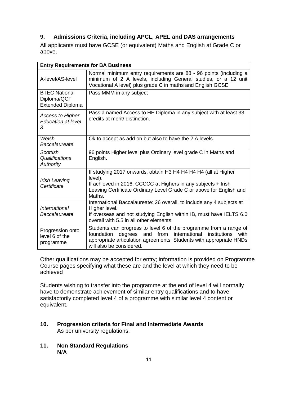## **9. Admissions Criteria, including APCL, APEL and DAS arrangements**

All applicants must have GCSE (or equivalent) Maths and English at Grade C or above.

| <b>Entry Requirements for BA Business</b>                      |                                                                                                                                                                                                                                           |  |  |  |  |
|----------------------------------------------------------------|-------------------------------------------------------------------------------------------------------------------------------------------------------------------------------------------------------------------------------------------|--|--|--|--|
| A-level/AS-level                                               | Normal minimum entry requirements are 88 - 96 points (including a<br>minimum of 2 A levels, including General studies, or a 12 unit<br>Vocational A level) plus grade C in maths and English GCSE                                         |  |  |  |  |
| <b>BTEC National</b><br>Diploma/QCF<br><b>Extended Diploma</b> | Pass MMM in any subject                                                                                                                                                                                                                   |  |  |  |  |
| <b>Access to Higher</b><br><b>Education at level</b><br>3      | Pass a named Access to HE Diploma in any subject with at least 33<br>credits at merit/ distinction.                                                                                                                                       |  |  |  |  |
| Welsh<br>Baccalaureate                                         | Ok to accept as add on but also to have the 2 A levels.                                                                                                                                                                                   |  |  |  |  |
| <b>Scottish</b><br>Qualifications<br><b>Authority</b>          | 96 points Higher level plus Ordinary level grade C in Maths and<br>English.                                                                                                                                                               |  |  |  |  |
| Irish Leaving<br>Certificate                                   | If studying 2017 onwards, obtain H3 H4 H4 H4 H4 (all at Higher<br>level).<br>If achieved in 2016, CCCCC at Highers in any subjects + Irish<br>Leaving Certificate Ordinary Level Grade C or above for English and<br>Maths.               |  |  |  |  |
| <b>International</b><br>Baccalaureate                          | International Baccalaureate: 26 overall, to include any 4 subjects at<br>Higher level.<br>If overseas and not studying English within IB, must have IELTS 6.0<br>overall with 5.5 in all other elements.                                  |  |  |  |  |
| Progression onto<br>level 6 of the<br>programme                | Students can progress to level 6 of the programme from a range of<br>degrees and from international institutions<br>foundation<br>with<br>appropriate articulation agreements. Students with appropriate HNDs<br>will also be considered. |  |  |  |  |

Other qualifications may be accepted for entry; information is provided on Programme Course pages specifying what these are and the level at which they need to be achieved

Students wishing to transfer into the programme at the end of level 4 will normally have to demonstrate achievement of similar entry qualifications and to have satisfactorily completed level 4 of a programme with similar level 4 content or equivalent.

#### **10. Progression criteria for Final and Intermediate Awards**  As per university regulations.

**11. Non Standard Regulations N/A**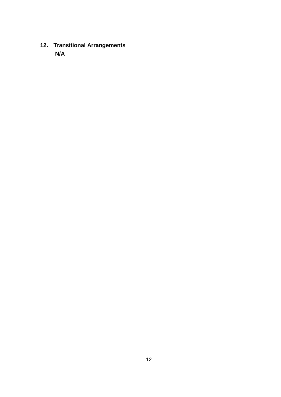**12. Transitional Arrangements N/A**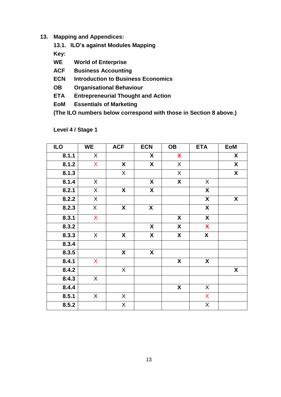- **13. Mapping and Appendices:**
	- **13.1. ILO's against Modules Mapping**

**Key:**

- **WE World of Enterprise**
- **ACF****Business Accounting**
- **ECN Introduction to Business Economics**
- **OB Organisational Behaviour**
- **ETA Entrepreneurial Thought and Action**
- **EoM Essentials of Marketing**

**(The ILO numbers below correspond with those in Section 8 above.)**

| <b>ILO</b> | <b>WE</b>    | <b>ACF</b>                | <b>ECN</b>                | <b>OB</b>               | <b>ETA</b>                | <b>EoM</b>                |
|------------|--------------|---------------------------|---------------------------|-------------------------|---------------------------|---------------------------|
| 8.1.1      | X            |                           | X                         | X                       |                           | X                         |
| 8.1.2      | $\mathsf{X}$ | $\boldsymbol{\mathsf{X}}$ | X                         | $\sf X$                 |                           | $\boldsymbol{\mathsf{X}}$ |
| 8.1.3      |              | $\overline{X}$            |                           | $\overline{X}$          |                           | $\overline{\mathbf{X}}$   |
| 8.1.4      | X            |                           | X                         | $\overline{\mathbf{X}}$ | X                         |                           |
| 8.2.1      | X            | X                         | X                         |                         | X                         |                           |
| 8.2.2      | X            |                           |                           |                         | X                         | X                         |
| 8.2.3      | X            | X                         | $\boldsymbol{\mathsf{X}}$ |                         | $\pmb{\mathsf{X}}$        |                           |
| 8.3.1      | $\mathsf{X}$ |                           |                           | X                       | $\boldsymbol{\mathsf{X}}$ |                           |
| 8.3.2      |              |                           | X                         | $\boldsymbol{X}$        | X                         |                           |
| 8.3.3      | X            | X                         | X                         | $\boldsymbol{X}$        | $\boldsymbol{X}$          |                           |
| 8.3.4      |              |                           |                           |                         |                           |                           |
| 8.3.5      |              | X                         | X                         |                         |                           |                           |
| 8.4.1      | X            |                           |                           | $\pmb{\mathsf{X}}$      | X                         |                           |
| 8.4.2      |              | X                         |                           |                         |                           | $\boldsymbol{X}$          |
| 8.4.3      | X            |                           |                           |                         |                           |                           |
| 8.4.4      |              |                           |                           | $\overline{\mathbf{X}}$ | $\mathsf X$               |                           |
| 8.5.1      | X            | X                         |                           |                         | X                         |                           |
| 8.5.2      |              | $\overline{X}$            |                           |                         | $\sf X$                   |                           |

**Level 4 / Stage 1**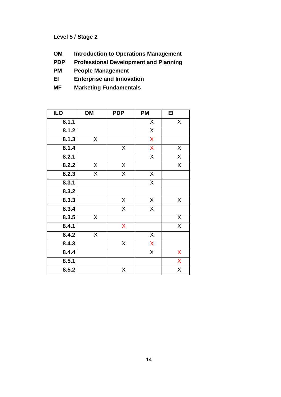## **Level 5 / Stage 2**

- **OM Introduction to Operations Management**
- **PDP Professional Development and Planning**
- **PM People Management**
- **EI Enterprise and Innovation**
- **MF Marketing Fundamentals**

| <b>ILO</b> | OM                      | <b>PDP</b>              | РM                 | EI             |
|------------|-------------------------|-------------------------|--------------------|----------------|
| 8.1.1      |                         |                         | X                  | X              |
| 8.1.2      |                         |                         | X                  |                |
| 8.1.3      | X                       |                         | X                  |                |
| 8.1.4      |                         | X                       | $\mathsf{X}% _{0}$ | X              |
| 8.2.1      |                         |                         | $\mathsf{X}$       | X              |
| 8.2.2      | X                       | $\mathsf X$             |                    | $\overline{X}$ |
| 8.2.3      | $\overline{\mathsf{X}}$ | $\overline{\mathsf{X}}$ | $\sf X$            |                |
| 8.3.1      |                         |                         | X                  |                |
| 8.3.2      |                         |                         |                    |                |
| 8.3.3      |                         | $\mathsf X$             | $\mathsf X$        | X              |
| 8.3.4      |                         | $\overline{X}$          | X                  |                |
| 8.3.5      | X.                      |                         |                    | X              |
| 8.4.1      |                         | X                       |                    | X              |
| 8.4.2      | $\mathsf{X}$            |                         | $\mathsf X$        |                |
| 8.4.3      |                         | X                       | X                  |                |
| 8.4.4      |                         |                         | $\overline{X}$     | X              |
| 8.5.1      |                         |                         |                    | X              |
| 8.5.2      |                         | X                       |                    | X              |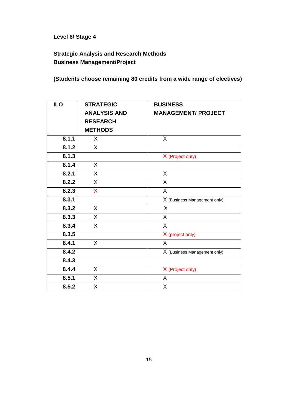**Level 6/ Stage 4**

**Strategic Analysis and Research Methods Business Management/Project**

**(Students choose remaining 80 credits from a wide range of electives)**

| <b>ILO</b> | <b>STRATEGIC</b>    | <b>BUSINESS</b>              |
|------------|---------------------|------------------------------|
|            | <b>ANALYSIS AND</b> | <b>MANAGEMENT/ PROJECT</b>   |
|            | <b>RESEARCH</b>     |                              |
|            | <b>METHODS</b>      |                              |
| 8.1.1      | X                   | X                            |
| 8.1.2      | $\mathsf{X}$        |                              |
| 8.1.3      |                     | X (Project only)             |
| 8.1.4      | X                   |                              |
| 8.2.1      | $\mathsf{X}$        | X                            |
| 8.2.2      | $\mathsf{X}$        | X                            |
| 8.2.3      | X                   | X                            |
| 8.3.1      |                     | X (Business Management only) |
| 8.3.2      | X                   | $\sf X$                      |
| 8.3.3      | X                   | X                            |
| 8.3.4      | $\mathsf{X}$        | X                            |
| 8.3.5      |                     | X (project only)             |
| 8.4.1      | $\sf X$             | X                            |
| 8.4.2      |                     | X (Business Management only) |
| 8.4.3      |                     |                              |
| 8.4.4      | X                   | X (Project only)             |
| 8.5.1      | X                   | X                            |
| 8.5.2      | X                   | X                            |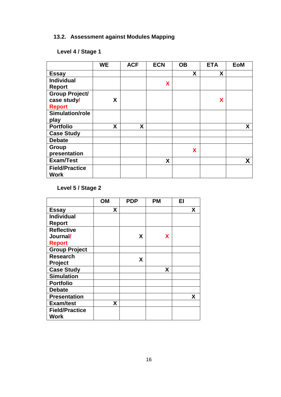# **13.2. Assessment against Modules Mapping**

# **Level 4 / Stage 1**

|                                                       | <b>WE</b> | <b>ACF</b> | <b>ECN</b> | <b>OB</b> | <b>ETA</b> | <b>EoM</b> |
|-------------------------------------------------------|-----------|------------|------------|-----------|------------|------------|
| <b>Essay</b>                                          |           |            |            | X         | X          |            |
| <b>Individual</b><br><b>Report</b>                    |           |            | X          |           |            |            |
| <b>Group Project/</b><br>case study/<br><b>Report</b> | X         |            |            |           | X          |            |
| Simulation/role<br>play                               |           |            |            |           |            |            |
| <b>Portfolio</b>                                      | X         | X          |            |           |            | X          |
| <b>Case Study</b>                                     |           |            |            |           |            |            |
| <b>Debate</b>                                         |           |            |            |           |            |            |
| Group<br>presentation                                 |           |            |            | X         |            |            |
| <b>Exam/Test</b>                                      |           |            | X          |           |            | X          |
| <b>Field/Practice</b><br><b>Work</b>                  |           |            |            |           |            |            |

**Level 5 / Stage 2**

|                       | <b>OM</b> | <b>PDP</b> | <b>PM</b> | EI |
|-----------------------|-----------|------------|-----------|----|
| <b>Essay</b>          | X         |            |           | X  |
| <b>Individual</b>     |           |            |           |    |
| <b>Report</b>         |           |            |           |    |
| <b>Reflective</b>     |           |            |           |    |
| Journal/              |           | X          | X         |    |
| <b>Report</b>         |           |            |           |    |
| <b>Group Project</b>  |           |            |           |    |
| <b>Research</b>       |           | X          |           |    |
| <b>Project</b>        |           |            |           |    |
| <b>Case Study</b>     |           |            | X         |    |
| <b>Simulation</b>     |           |            |           |    |
| <b>Portfolio</b>      |           |            |           |    |
| <b>Debate</b>         |           |            |           |    |
| <b>Presentation</b>   |           |            |           | X  |
| <b>Exam/test</b>      | X         |            |           |    |
| <b>Field/Practice</b> |           |            |           |    |
| <b>Work</b>           |           |            |           |    |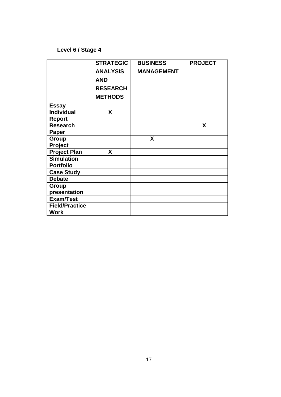## **Level 6 / Stage 4**

|                       | <b>STRATEGIC</b> | <b>BUSINESS</b>   | <b>PROJECT</b> |
|-----------------------|------------------|-------------------|----------------|
|                       | <b>ANALYSIS</b>  | <b>MANAGEMENT</b> |                |
|                       | <b>AND</b>       |                   |                |
|                       | <b>RESEARCH</b>  |                   |                |
|                       | <b>METHODS</b>   |                   |                |
| <b>Essay</b>          |                  |                   |                |
| <b>Individual</b>     | X                |                   |                |
| <b>Report</b>         |                  |                   |                |
| <b>Research</b>       |                  |                   | X              |
| Paper                 |                  |                   |                |
| Group                 |                  | X                 |                |
| Project               |                  |                   |                |
| <b>Project Plan</b>   | X                |                   |                |
| <b>Simulation</b>     |                  |                   |                |
| <b>Portfolio</b>      |                  |                   |                |
| <b>Case Study</b>     |                  |                   |                |
| <b>Debate</b>         |                  |                   |                |
| Group                 |                  |                   |                |
| presentation          |                  |                   |                |
| <b>Exam/Test</b>      |                  |                   |                |
| <b>Field/Practice</b> |                  |                   |                |
| <b>Work</b>           |                  |                   |                |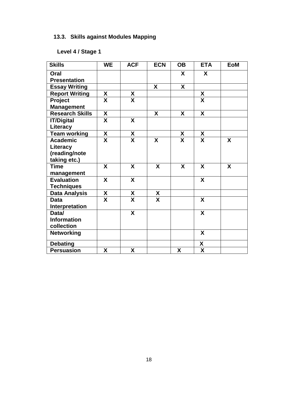# **13.3. Skills against Modules Mapping**

# **Level 4 / Stage 1**

| <b>Skills</b>          | <b>WE</b>               | <b>ACF</b>                      | <b>ECN</b>              | <b>OB</b> | <b>ETA</b>                | <b>EoM</b> |
|------------------------|-------------------------|---------------------------------|-------------------------|-----------|---------------------------|------------|
| Oral                   |                         |                                 |                         | X         | X                         |            |
| <b>Presentation</b>    |                         |                                 |                         |           |                           |            |
| <b>Essay Writing</b>   |                         |                                 | $\boldsymbol{X}$        | X         |                           |            |
| <b>Report Writing</b>  | χ                       | X                               |                         |           | $\pmb{\mathsf{X}}$        |            |
| Project                | $\overline{\mathsf{x}}$ | $\overline{\mathsf{x}}$         |                         |           | $\overline{\mathsf{x}}$   |            |
| <b>Management</b>      |                         |                                 |                         |           |                           |            |
| <b>Research Skills</b> | X                       |                                 | X                       | X         | $\overline{\mathsf{x}}$   |            |
| <b>IT/Digital</b>      | X                       | X                               |                         |           |                           |            |
| Literacy               |                         |                                 |                         |           |                           |            |
| <b>Team working</b>    | $\overline{\mathbf{X}}$ | $\boldsymbol{X}$                |                         | X         | X                         |            |
| <b>Academic</b>        | X                       | X                               | X                       | X         | X                         | X          |
| Literacy               |                         |                                 |                         |           |                           |            |
| (reading/note          |                         |                                 |                         |           |                           |            |
| taking etc.)           |                         |                                 |                         |           |                           |            |
| <b>Time</b>            | X                       | X                               | X                       | X         | X                         | X          |
| management             |                         |                                 |                         |           |                           |            |
| <b>Evaluation</b>      | X                       | X                               |                         |           | $\boldsymbol{\mathsf{X}}$ |            |
| <b>Techniques</b>      |                         |                                 |                         |           |                           |            |
| <b>Data Analysis</b>   | X                       | $\frac{\mathsf{X}}{\mathsf{X}}$ | X                       |           |                           |            |
| <b>Data</b>            | $\overline{\mathsf{x}}$ |                                 | $\overline{\mathsf{x}}$ |           | $\overline{\mathbf{X}}$   |            |
| Interpretation         |                         |                                 |                         |           |                           |            |
| Data/                  |                         | $\boldsymbol{\mathsf{X}}$       |                         |           | X                         |            |
| <b>Information</b>     |                         |                                 |                         |           |                           |            |
| collection             |                         |                                 |                         |           |                           |            |
| <b>Networking</b>      |                         |                                 |                         |           | X                         |            |
| <b>Debating</b>        |                         |                                 |                         |           | X                         |            |
| <b>Persuasion</b>      | X                       | X                               |                         | X         | $\boldsymbol{X}$          |            |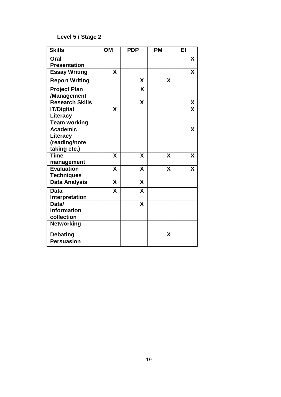# **Level 5 / Stage 2**

| <b>Skills</b>                                                | OM | <b>PDP</b> | <b>PM</b> | EI |
|--------------------------------------------------------------|----|------------|-----------|----|
| Oral<br><b>Presentation</b>                                  |    |            |           | X  |
| <b>Essay Writing</b>                                         | X  |            |           | X  |
| <b>Report Writing</b>                                        |    | X          | X         |    |
| <b>Project Plan</b><br>/Management                           |    | X          |           |    |
| <b>Research Skills</b>                                       |    | X          |           | X  |
| <b>IT/Digital</b><br>Literacy                                | X  |            |           | X  |
| <b>Team working</b>                                          |    |            |           |    |
| <b>Academic</b><br>Literacy<br>(reading/note<br>taking etc.) |    |            |           | X  |
| <b>Time</b><br>management                                    | X  | X          | X         | X  |
| <b>Evaluation</b><br><b>Techniques</b>                       | X  | X          | X         | X  |
| <b>Data Analysis</b>                                         | X  | X          |           |    |
| <b>Data</b><br>Interpretation                                | X  | X          |           |    |
| Data/<br><b>Information</b><br>collection                    |    | X          |           |    |
| <b>Networking</b>                                            |    |            |           |    |
| <b>Debating</b>                                              |    |            | X         |    |
| <b>Persuasion</b>                                            |    |            |           |    |